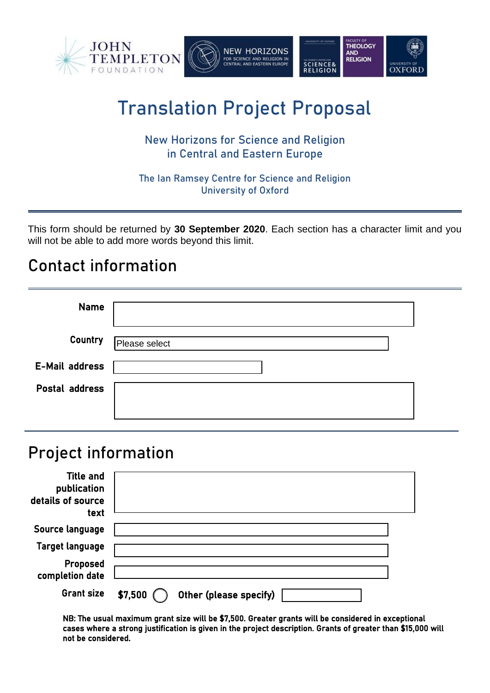

# Translation Project Proposal

### New Horizons for Science and Religion in Central and Eastern Europe

The Ian Ramsey Centre for Science and Religion University of Oxford

This form should be returned by **30 September 2020**. Each section has a character limit and you will not be able to add more words beyond this limit.

## Contact information

| <b>Name</b>           |               |  |
|-----------------------|---------------|--|
| Country               | Please select |  |
| <b>E-Mail address</b> |               |  |
| Postal address        |               |  |
|                       |               |  |

### Project information

| <b>Title and</b><br>publication<br>details of source<br>text |                                   |  |
|--------------------------------------------------------------|-----------------------------------|--|
| Source language                                              |                                   |  |
| <b>Target language</b>                                       |                                   |  |
| Proposed<br>completion date                                  |                                   |  |
| <b>Grant size</b>                                            | \$7,500<br>Other (please specify) |  |

NB: The usual maximum grant size will be \$7,500. Greater grants will be considered in exceptional cases where a strong justification is given in the project description. Grants of greater than \$15,000 will not be considered.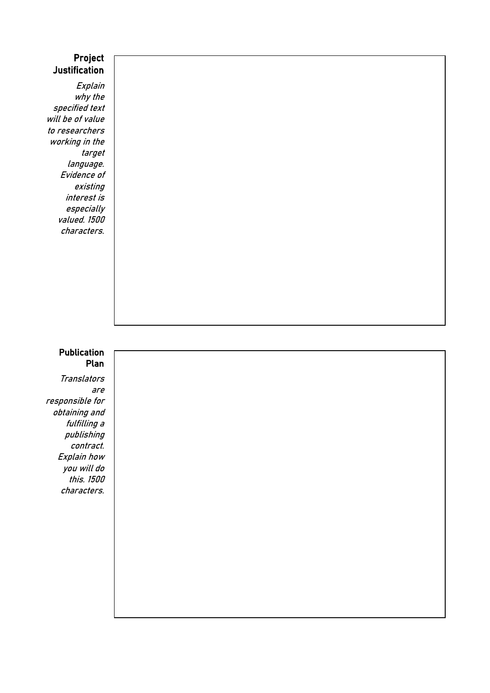#### Project **Justification**

Explain why the specified text will be of value to researchers working in the target language. Evidence of existing interest is especially valued. 1500 characters.

#### Publication Plan

**Translators** are responsible for obtaining and fulfilling a publishing contract. Explain how you will do this. 1500 characters.